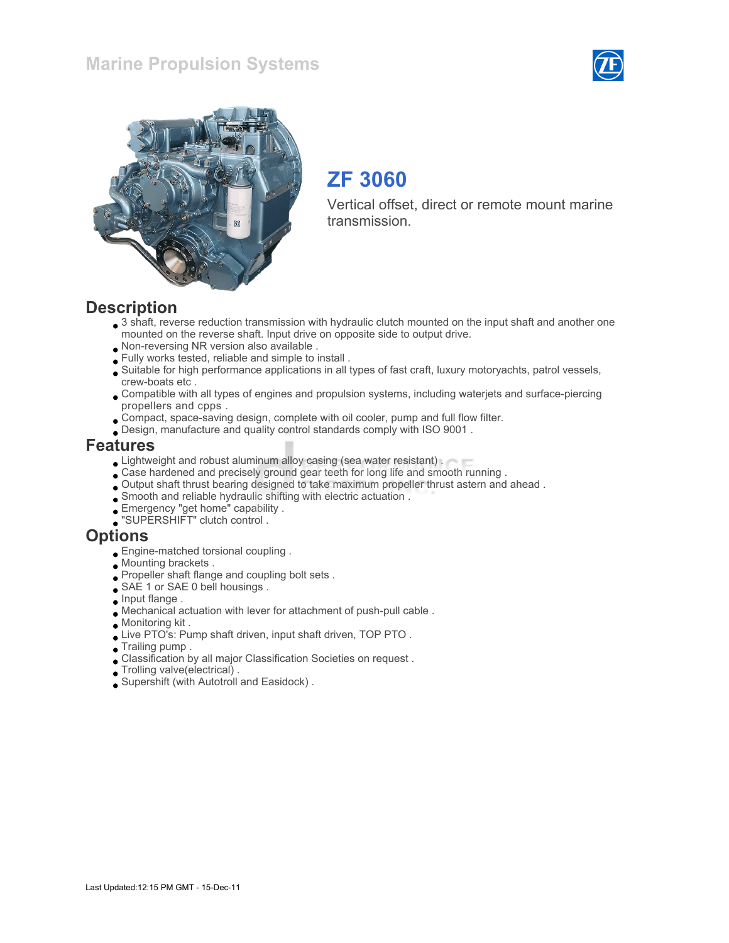



# ZF 3060

Vertical offset, direct or remote mount marine transmission.

### **Description**

- 3 shaft, reverse reduction transmission with hydraulic clutch mounted on the input shaft and another one mounted on the reverse shaft. Input drive on opposite side to output drive.
- Non-reversing NR version also available .
- Fully works tested, reliable and simple to install .
- Suitable for high performance applications in all types of fast craft, luxury motoryachts, patrol vessels, crew-boats etc .
- Compatible with all types of engines and propulsion systems, including waterjets and surface-piercing propellers and cpps .
- Compact, space-saving design, complete with oil cooler, pump and full flow filter.
- Design, manufacture and quality control standards comply with ISO 9001 .

#### Features

- **Lightweight and robust aluminum alloy casing (sea water resistant).**
- Case hardened and precisely ground gear teeth for long life and smooth running .
- Output shaft thrust bearing designed to take maximum propeller thrust astern and ahead .
- Smooth and reliable hydraulic shifting with electric actuation .
- Emergency "get home" capability .
- "SUPERSHIFT" clutch control .

#### **Options**

- Engine-matched torsional coupling .
- Mounting brackets .
- Propeller shaft flange and coupling bolt sets .
- SAE 1 or SAE 0 bell housings.
- $\bullet$  Input flange.
- Mechanical actuation with lever for attachment of push-pull cable .
- Monitoring kit .
- Live PTO's: Pump shaft driven, input shaft driven, TOP PTO .
- Trailing pump .
- Classification by all major Classification Societies on request .
- Trolling valve(electrical) .
- Supershift (with Autotroll and Easidock) .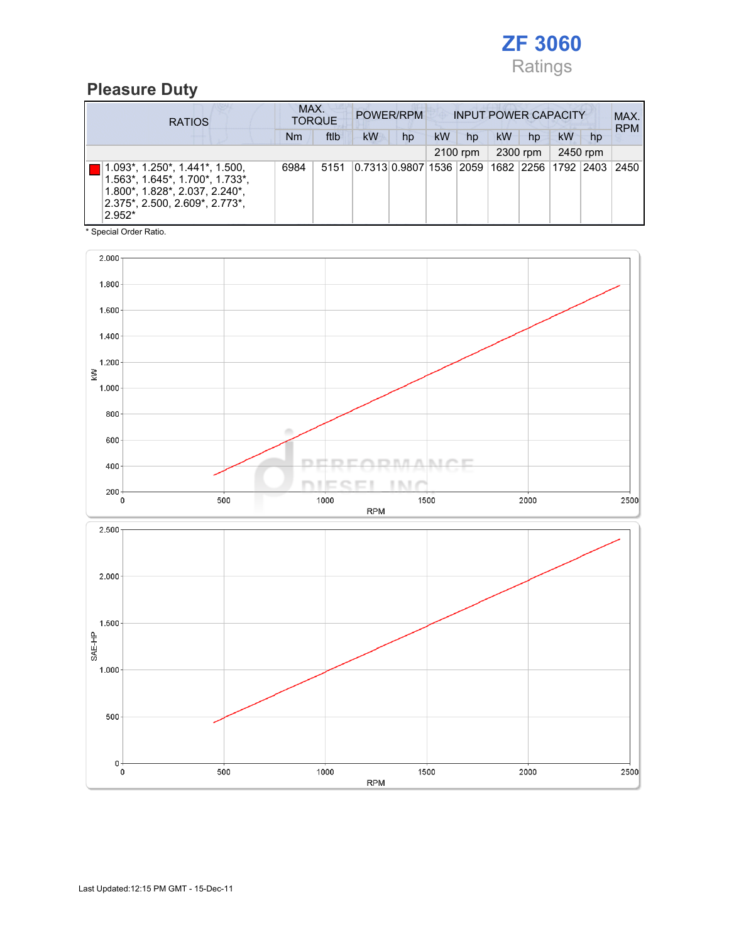

### Pleasure Duty

| <b>RATIOS</b>                                                                                                                                                     | MAX.<br><b>TORQUE</b> |      | POWER/RPM |                                                  | <b>INPUT POWER CAPACITY</b> |          |    |    |           |    | MAX.<br><b>RPM</b> |
|-------------------------------------------------------------------------------------------------------------------------------------------------------------------|-----------------------|------|-----------|--------------------------------------------------|-----------------------------|----------|----|----|-----------|----|--------------------|
|                                                                                                                                                                   | Nm                    | ftlb | <b>kW</b> | hp                                               | <b>kW</b>                   | hp       | kW | hp | <b>kW</b> | hp |                    |
|                                                                                                                                                                   | 2100 rpm              |      |           | 2300 rpm                                         |                             | 2450 rpm |    |    |           |    |                    |
| 1.093*, 1.250*, 1.441*, 1.500,<br>$1.563^*$ , $1.645^*$ , $1.700^*$ , $1.733^*$ ,<br>1.800*, 1.828*, 2.037, 2.240*,<br>2.375*, 2.500, 2.609*, 2.773*,<br>$2.952*$ | 6984                  | 5151 |           | 0.7313 0.9807 1536  2059  1682  2256  1792  2403 |                             |          |    |    |           |    | 2450               |

\* Special Order Ratio.

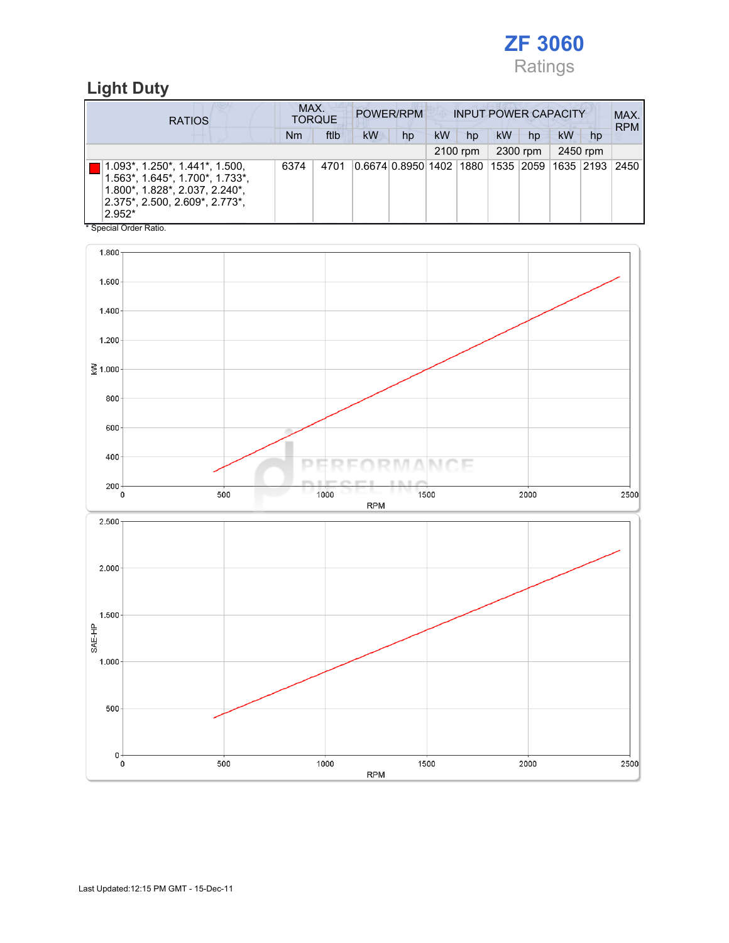

### Light Duty

| <b>RATIOS</b>                                                                                                                                                    | MAX.<br><b>TORQUE</b> |      | POWER/RPM<br><b>INPUT POWER CAPACITY</b> |                                             |           |    |    |    |    | MAX.<br><b>RPM</b> |      |
|------------------------------------------------------------------------------------------------------------------------------------------------------------------|-----------------------|------|------------------------------------------|---------------------------------------------|-----------|----|----|----|----|--------------------|------|
|                                                                                                                                                                  | Nm                    | ftlb | <b>kW</b>                                | hp                                          | <b>kW</b> | hp | kW | hp | kW | hp                 |      |
|                                                                                                                                                                  | 2300 rpm<br>2100 rpm  |      | 2450 rpm                                 |                                             |           |    |    |    |    |                    |      |
| 1.093*, 1.250*, 1.441*, 1.500,<br>$1.563$ *, $1.645$ *, $1.700$ *, $1.733$ *,<br>1.800*, 1.828*, 2.037, 2.240*,<br>$2.375$ *, 2.500, 2.609*, 2.773*,<br>$2.952*$ | 6374                  | 4701 |                                          | 0.6674 0.8950 1402 1880 1535 2059 1635 2193 |           |    |    |    |    |                    | 2450 |

\* Special Order Ratio.

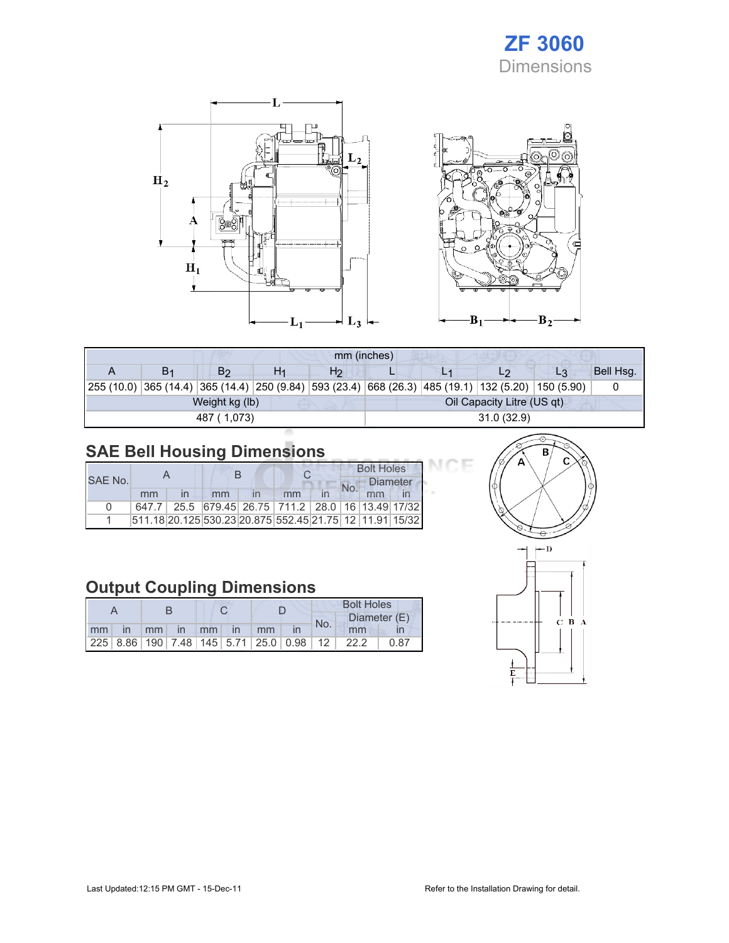## ZF 3060 Dimensions





| mm (inches)    |                |    |                |                            |  |                                                                                                    |                |           |  |  |
|----------------|----------------|----|----------------|----------------------------|--|----------------------------------------------------------------------------------------------------|----------------|-----------|--|--|
| B <sub>1</sub> | B2             | H1 | H <sub>2</sub> |                            |  |                                                                                                    | L <sub>3</sub> | Bell Hsg. |  |  |
|                |                |    |                |                            |  | 255 (10.0) 365 (14.4) 365 (14.4) 250 (9.84) 593 (23.4) 668 (26.3) 485 (19.1) 132 (5.20) 150 (5.90) |                |           |  |  |
|                | Weight kg (lb) |    |                | Oil Capacity Litre (US qt) |  |                                                                                                    |                |           |  |  |
|                | 487 (1,073)    |    |                | 31.0(32.9)                 |  |                                                                                                    |                |           |  |  |

## SAE Bell Housing Dimensions

|              |    |                                                         |    |  | <b>Bolt Holes</b> |                 |  |  |
|--------------|----|---------------------------------------------------------|----|--|-------------------|-----------------|--|--|
| SAE No.      |    |                                                         |    |  |                   | <b>Diameter</b> |  |  |
|              | mm | mm                                                      | mm |  |                   | mm              |  |  |
| <sup>0</sup> |    | 647.7 25.5 679.45 26.75 711.2 28.0 16 13.49 17/32       |    |  |                   |                 |  |  |
|              |    | 511.18 20.125 530.23 20.875 552.45 21.75 12 11.91 15/32 |    |  |                   |                 |  |  |

### Output Coupling Dimensions

|    |              |                 |          |  |      | <b>Bolt Holes</b> |                                                         |  |      |      |              |  |
|----|--------------|-----------------|----------|--|------|-------------------|---------------------------------------------------------|--|------|------|--------------|--|
|    |              |                 |          |  |      |                   |                                                         |  |      | No.  | Diameter (E) |  |
| mm | $\mathsf{I}$ | mm <sub>1</sub> | $\ln$ mm |  | l in | mm                |                                                         |  | mm   |      |              |  |
|    |              |                 |          |  |      |                   | 225   8.86   190   7.48   145   5.71   25.0   0.98   12 |  | 22.2 | 0.87 |              |  |



эF